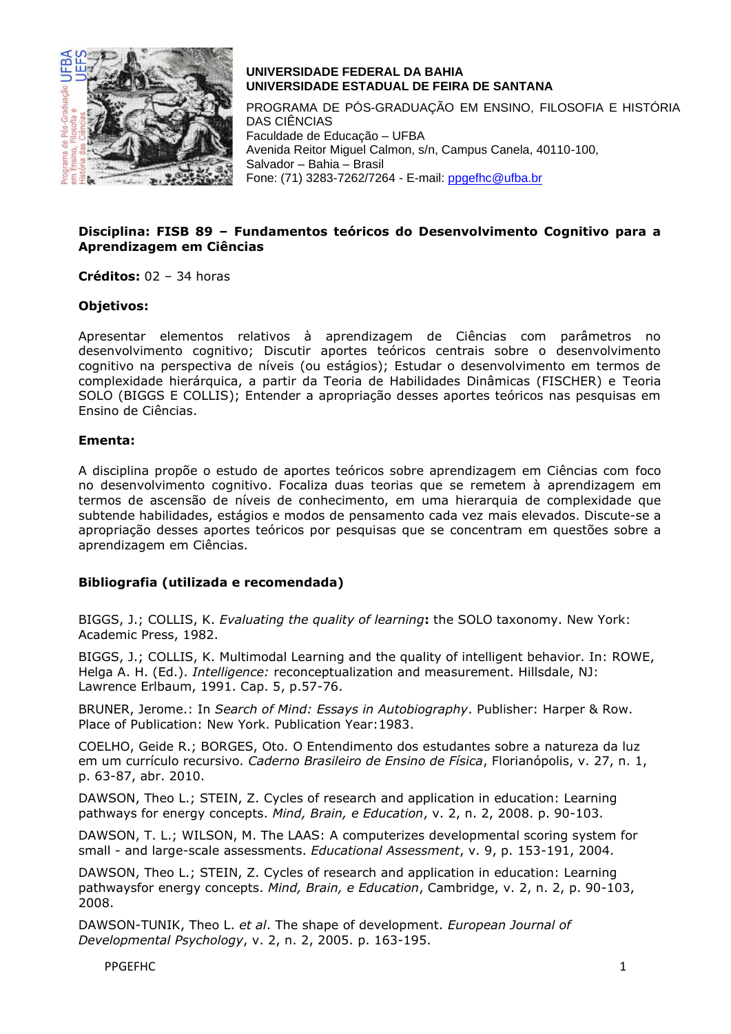

# **UNIVERSIDADE FEDERAL DA BAHIA UNIVERSIDADE ESTADUAL DE FEIRA DE SANTANA**

PROGRAMA DE PÓS-GRADUAÇÃO EM ENSINO, FILOSOFIA E HISTÓRIA DAS CIÊNCIAS Faculdade de Educação – UFBA Avenida Reitor Miguel Calmon, s/n, Campus Canela, 40110-100, Salvador – Bahia – Brasil Fone: (71) 3283-7262/7264 - E-mail: [ppgefhc@ufba.br](mailto:ppgefhc@ufba.br)

## **Disciplina: FISB 89 – Fundamentos teóricos do Desenvolvimento Cognitivo para a Aprendizagem em Ciências**

**Créditos:** 02 – 34 horas

### **Objetivos:**

Apresentar elementos relativos à aprendizagem de Ciências com parâmetros no desenvolvimento cognitivo; Discutir aportes teóricos centrais sobre o desenvolvimento cognitivo na perspectiva de níveis (ou estágios); Estudar o desenvolvimento em termos de complexidade hierárquica, a partir da Teoria de Habilidades Dinâmicas (FISCHER) e Teoria SOLO (BIGGS E COLLIS); Entender a apropriação desses aportes teóricos nas pesquisas em Ensino de Ciências.

#### **Ementa:**

A disciplina propõe o estudo de aportes teóricos sobre aprendizagem em Ciências com foco no desenvolvimento cognitivo. Focaliza duas teorias que se remetem à aprendizagem em termos de ascensão de níveis de conhecimento, em uma hierarquia de complexidade que subtende habilidades, estágios e modos de pensamento cada vez mais elevados. Discute-se a apropriação desses aportes teóricos por pesquisas que se concentram em questões sobre a aprendizagem em Ciências.

## **Bibliografia (utilizada e recomendada)**

BIGGS, J.; COLLIS, K. *Evaluating the quality of learning***:** the SOLO taxonomy. New York: Academic Press, 1982.

BIGGS, J.; COLLIS, K. Multimodal Learning and the quality of intelligent behavior. In: ROWE, Helga A. H. (Ed.). *Intelligence:* reconceptualization and measurement. Hillsdale, NJ: Lawrence Erlbaum, 1991. Cap. 5, p.57-76.

BRUNER, Jerome.: In *Search of Mind: Essays in Autobiography*. Publisher: Harper & Row. Place of Publication: New York. Publication Year:1983.

COELHO, Geide R.; BORGES, Oto. O Entendimento dos estudantes sobre a natureza da luz em um currículo recursivo. *Caderno Brasileiro de Ensino de Física*, Florianópolis, v. 27, n. 1, p. 63-87, abr. 2010.

DAWSON, Theo L.; STEIN, Z. Cycles of research and application in education: Learning pathways for energy concepts. *Mind, Brain, e Education*, v. 2, n. 2, 2008. p. 90-103.

DAWSON, T. L.; WILSON, M. The LAAS: A computerizes developmental scoring system for small - and large-scale assessments. *Educational Assessment*, v. 9, p. 153-191, 2004.

DAWSON, Theo L.; STEIN, Z. Cycles of research and application in education: Learning pathwaysfor energy concepts. *Mind, Brain, e Education*, Cambridge, v. 2, n. 2, p. 90-103, 2008.

DAWSON-TUNIK, Theo L. *et al*. The shape of development. *European Journal of Developmental Psychology*, v. 2, n. 2, 2005. p. 163-195.

PPGEFHC 1